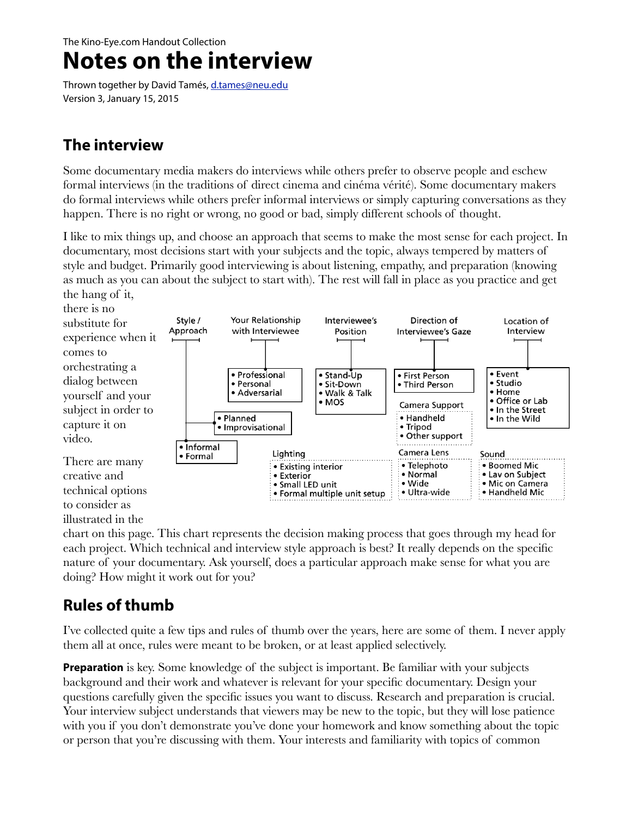#### The Kino-Eye.com Handout Collection

# **Notes on the interview**

Thrown together by David Tamés, [d.tames@neu.edu](mailto:d.tames@neu.edu?subject=Interview%20Handout) Version 3, January 15, 2015

### **The interview**

Some documentary media makers do interviews while others prefer to observe people and eschew formal interviews (in the traditions of direct cinema and cinéma vérité). Some documentary makers do formal interviews while others prefer informal interviews or simply capturing conversations as they happen. There is no right or wrong, no good or bad, simply different schools of thought.

I like to mix things up, and choose an approach that seems to make the most sense for each project. In documentary, most decisions start with your subjects and the topic, always tempered by matters of style and budget. Primarily good interviewing is about listening, empathy, and preparation (knowing as much as you can about the subject to start with). The rest will fall in place as you practice and get the hang of it,



#### illustrated in the

chart on this page. This chart represents the decision making process that goes through my head for each project. Which technical and interview style approach is best? It really depends on the specific nature of your documentary. Ask yourself, does a particular approach make sense for what you are doing? How might it work out for you?

### **Rules of thumb**

I've collected quite a few tips and rules of thumb over the years, here are some of them. I never apply them all at once, rules were meant to be broken, or at least applied selectively.

**Preparation** is key. Some knowledge of the subject is important. Be familiar with your subjects background and their work and whatever is relevant for your specific documentary. Design your questions carefully given the specific issues you want to discuss. Research and preparation is crucial. Your interview subject understands that viewers may be new to the topic, but they will lose patience with you if you don't demonstrate you've done your homework and know something about the topic or person that you're discussing with them. Your interests and familiarity with topics of common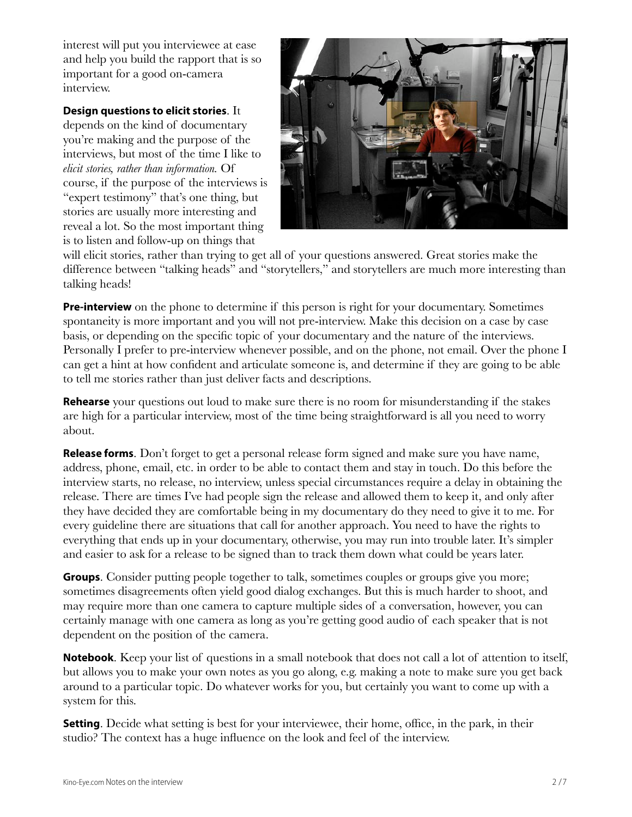interest will put you interviewee at ease and help you build the rapport that is so important for a good on-camera interview.

#### **Design questions to elicit stories**. It

depends on the kind of documentary you're making and the purpose of the interviews, but most of the time I like to *elicit stories, rather than information.* Of course, if the purpose of the interviews is "expert testimony" that's one thing, but stories are usually more interesting and reveal a lot. So the most important thing is to listen and follow-up on things that



will elicit stories, rather than trying to get all of your questions answered. Great stories make the difference between "talking heads" and "storytellers," and storytellers are much more interesting than talking heads!

**Pre-interview** on the phone to determine if this person is right for your documentary. Sometimes spontaneity is more important and you will not pre-interview. Make this decision on a case by case basis, or depending on the specific topic of your documentary and the nature of the interviews. Personally I prefer to pre-interview whenever possible, and on the phone, not email. Over the phone I can get a hint at how confident and articulate someone is, and determine if they are going to be able to tell me stories rather than just deliver facts and descriptions.

**Rehearse** your questions out loud to make sure there is no room for misunderstanding if the stakes are high for a particular interview, most of the time being straightforward is all you need to worry about.

**Release forms**. Don't forget to get a personal release form signed and make sure you have name, address, phone, email, etc. in order to be able to contact them and stay in touch. Do this before the interview starts, no release, no interview, unless special circumstances require a delay in obtaining the release. There are times I've had people sign the release and allowed them to keep it, and only after they have decided they are comfortable being in my documentary do they need to give it to me. For every guideline there are situations that call for another approach. You need to have the rights to everything that ends up in your documentary, otherwise, you may run into trouble later. It's simpler and easier to ask for a release to be signed than to track them down what could be years later.

**Groups.** Consider putting people together to talk, sometimes couples or groups give you more; sometimes disagreements often yield good dialog exchanges. But this is much harder to shoot, and may require more than one camera to capture multiple sides of a conversation, however, you can certainly manage with one camera as long as you're getting good audio of each speaker that is not dependent on the position of the camera.

**Notebook**. Keep your list of questions in a small notebook that does not call a lot of attention to itself, but allows you to make your own notes as you go along, e.g. making a note to make sure you get back around to a particular topic. Do whatever works for you, but certainly you want to come up with a system for this.

**Setting**. Decide what setting is best for your interviewee, their home, office, in the park, in their studio? The context has a huge influence on the look and feel of the interview.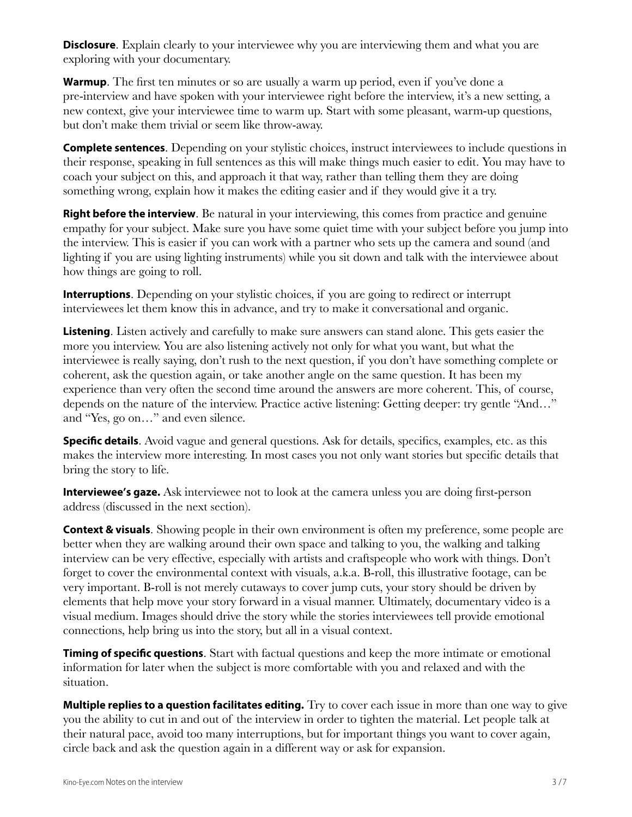**Disclosure**. Explain clearly to your interviewee why you are interviewing them and what you are exploring with your documentary.

**Warmup**. The first ten minutes or so are usually a warm up period, even if you've done a pre-interview and have spoken with your interviewee right before the interview, it's a new setting, a new context, give your interviewee time to warm up. Start with some pleasant, warm-up questions, but don't make them trivial or seem like throw-away.

**Complete sentences**. Depending on your stylistic choices, instruct interviewees to include questions in their response, speaking in full sentences as this will make things much easier to edit. You may have to coach your subject on this, and approach it that way, rather than telling them they are doing something wrong, explain how it makes the editing easier and if they would give it a try.

**Right before the interview.** Be natural in your interviewing, this comes from practice and genuine empathy for your subject. Make sure you have some quiet time with your subject before you jump into the interview. This is easier if you can work with a partner who sets up the camera and sound (and lighting if you are using lighting instruments) while you sit down and talk with the interviewee about how things are going to roll.

**Interruptions**. Depending on your stylistic choices, if you are going to redirect or interrupt interviewees let them know this in advance, and try to make it conversational and organic.

**Listening**. Listen actively and carefully to make sure answers can stand alone. This gets easier the more you interview. You are also listening actively not only for what you want, but what the interviewee is really saying, don't rush to the next question, if you don't have something complete or coherent, ask the question again, or take another angle on the same question. It has been my experience than very often the second time around the answers are more coherent. This, of course, depends on the nature of the interview. Practice active listening: Getting deeper: try gentle "And…" and "Yes, go on…" and even silence.

**Specific details**. Avoid vague and general questions. Ask for details, specifics, examples, etc. as this makes the interview more interesting. In most cases you not only want stories but specific details that bring the story to life.

**Interviewee's gaze.** Ask interviewee not to look at the camera unless you are doing first-person address (discussed in the next section).

**Context & visuals**. Showing people in their own environment is often my preference, some people are better when they are walking around their own space and talking to you, the walking and talking interview can be very effective, especially with artists and craftspeople who work with things. Don't forget to cover the environmental context with visuals, a.k.a. B-roll, this illustrative footage, can be very important. B-roll is not merely cutaways to cover jump cuts, your story should be driven by elements that help move your story forward in a visual manner. Ultimately, documentary video is a visual medium. Images should drive the story while the stories interviewees tell provide emotional connections, help bring us into the story, but all in a visual context.

**Timing of specifc questions**. Start with factual questions and keep the more intimate or emotional information for later when the subject is more comfortable with you and relaxed and with the situation.

**Multiple replies to a question facilitates editing.** Try to cover each issue in more than one way to give you the ability to cut in and out of the interview in order to tighten the material. Let people talk at their natural pace, avoid too many interruptions, but for important things you want to cover again, circle back and ask the question again in a different way or ask for expansion.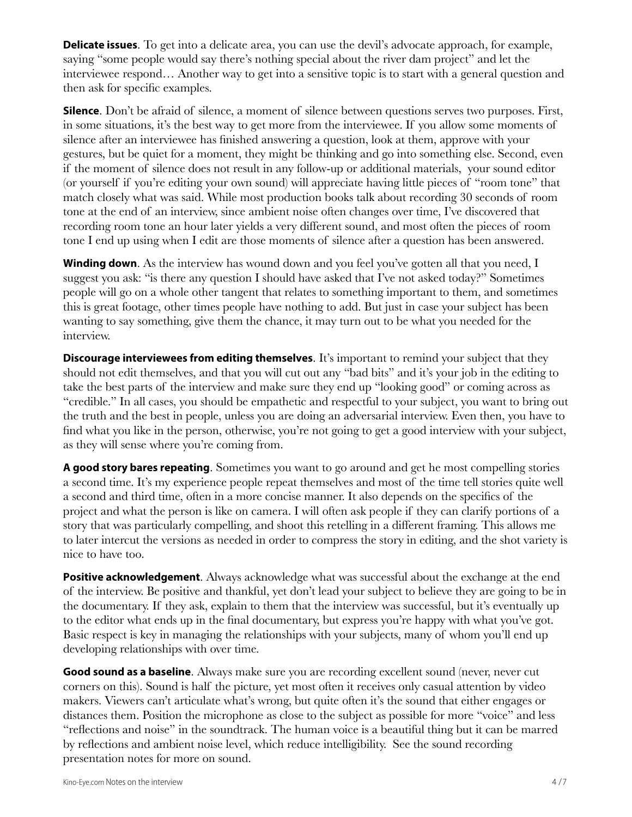**Delicate issues**. To get into a delicate area, you can use the devil's advocate approach, for example, saying "some people would say there's nothing special about the river dam project" and let the interviewee respond… Another way to get into a sensitive topic is to start with a general question and then ask for specific examples.

**Silence**. Don't be afraid of silence, a moment of silence between questions serves two purposes. First, in some situations, it's the best way to get more from the interviewee. If you allow some moments of silence after an interviewee has finished answering a question, look at them, approve with your gestures, but be quiet for a moment, they might be thinking and go into something else. Second, even if the moment of silence does not result in any follow-up or additional materials, your sound editor (or yourself if you're editing your own sound) will appreciate having little pieces of "room tone" that match closely what was said. While most production books talk about recording 30 seconds of room tone at the end of an interview, since ambient noise often changes over time, I've discovered that recording room tone an hour later yields a very different sound, and most often the pieces of room tone I end up using when I edit are those moments of silence after a question has been answered.

**Winding down**. As the interview has wound down and you feel you've gotten all that you need, I suggest you ask: "is there any question I should have asked that I've not asked today?" Sometimes people will go on a whole other tangent that relates to something important to them, and sometimes this is great footage, other times people have nothing to add. But just in case your subject has been wanting to say something, give them the chance, it may turn out to be what you needed for the interview.

**Discourage interviewees from editing themselves**. It's important to remind your subject that they should not edit themselves, and that you will cut out any "bad bits" and it's your job in the editing to take the best parts of the interview and make sure they end up "looking good" or coming across as "credible." In all cases, you should be empathetic and respectful to your subject, you want to bring out the truth and the best in people, unless you are doing an adversarial interview. Even then, you have to find what you like in the person, otherwise, you're not going to get a good interview with your subject, as they will sense where you're coming from.

A good story bares repeating. Sometimes you want to go around and get he most compelling stories a second time. It's my experience people repeat themselves and most of the time tell stories quite well a second and third time, often in a more concise manner. It also depends on the specifics of the project and what the person is like on camera. I will often ask people if they can clarify portions of a story that was particularly compelling, and shoot this retelling in a different framing. This allows me to later intercut the versions as needed in order to compress the story in editing, and the shot variety is nice to have too.

**Positive acknowledgement**. Always acknowledge what was successful about the exchange at the end of the interview. Be positive and thankful, yet don't lead your subject to believe they are going to be in the documentary. If they ask, explain to them that the interview was successful, but it's eventually up to the editor what ends up in the final documentary, but express you're happy with what you've got. Basic respect is key in managing the relationships with your subjects, many of whom you'll end up developing relationships with over time.

**Good sound as a baseline**. Always make sure you are recording excellent sound (never, never cut corners on this). Sound is half the picture, yet most often it receives only casual attention by video makers. Viewers can't articulate what's wrong, but quite often it's the sound that either engages or distances them. Position the microphone as close to the subject as possible for more "voice" and less "reflections and noise" in the soundtrack. The human voice is a beautiful thing but it can be marred by reflections and ambient noise level, which reduce intelligibility. See the sound recording presentation notes for more on sound.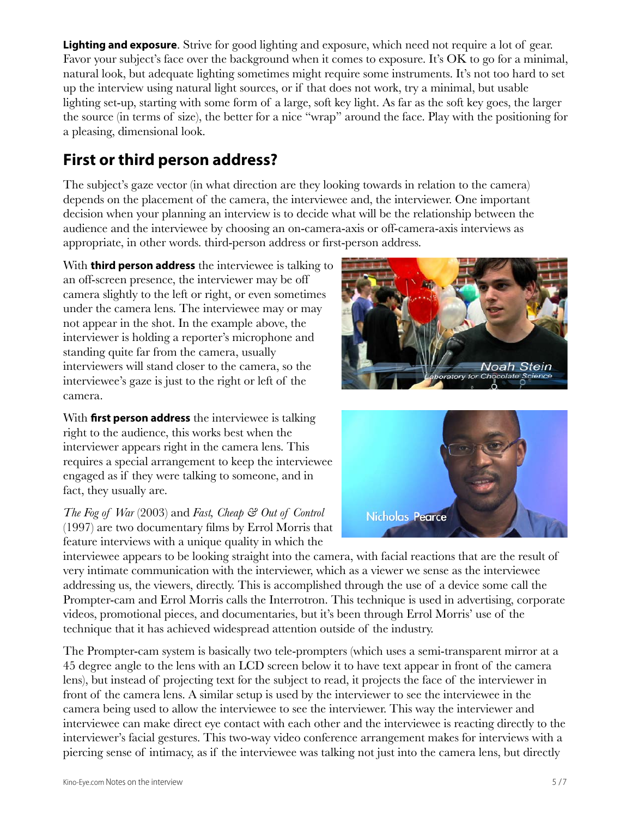**Lighting and exposure**. Strive for good lighting and exposure, which need not require a lot of gear. Favor your subject's face over the background when it comes to exposure. It's OK to go for a minimal, natural look, but adequate lighting sometimes might require some instruments. It's not too hard to set up the interview using natural light sources, or if that does not work, try a minimal, but usable lighting set-up, starting with some form of a large, soft key light. As far as the soft key goes, the larger the source (in terms of size), the better for a nice "wrap" around the face. Play with the positioning for a pleasing, dimensional look.

# **First or third person address?**

The subject's gaze vector (in what direction are they looking towards in relation to the camera) depends on the placement of the camera, the interviewee and, the interviewer. One important decision when your planning an interview is to decide what will be the relationship between the audience and the interviewee by choosing an on-camera-axis or off-camera-axis interviews as appropriate, in other words. third-person address or first-person address.

With **third person address** the interviewee is talking to an off-screen presence, the interviewer may be off camera slightly to the left or right, or even sometimes under the camera lens. The interviewee may or may not appear in the shot. In the example above, the interviewer is holding a reporter's microphone and standing quite far from the camera, usually interviewers will stand closer to the camera, so the interviewee's gaze is just to the right or left of the camera.

With **frst person address** the interviewee is talking right to the audience, this works best when the interviewer appears right in the camera lens. This requires a special arrangement to keep the interviewee engaged as if they were talking to someone, and in fact, they usually are.

*The Fog of War* (2003) and *Fast, Cheap & Out of Control* (1997) are two documentary films by Errol Morris that feature interviews with a unique quality in which the





interviewee appears to be looking straight into the camera, with facial reactions that are the result of very intimate communication with the interviewer, which as a viewer we sense as the interviewee addressing us, the viewers, directly. This is accomplished through the use of a device some call the Prompter-cam and Errol Morris calls the Interrotron. This technique is used in advertising, corporate videos, promotional pieces, and documentaries, but it's been through Errol Morris' use of the technique that it has achieved widespread attention outside of the industry.

The Prompter-cam system is basically two tele-prompters (which uses a semi-transparent mirror at a 45 degree angle to the lens with an LCD screen below it to have text appear in front of the camera lens), but instead of projecting text for the subject to read, it projects the face of the interviewer in front of the camera lens. A similar setup is used by the interviewer to see the interviewee in the camera being used to allow the interviewee to see the interviewer. This way the interviewer and interviewee can make direct eye contact with each other and the interviewee is reacting directly to the interviewer's facial gestures. This two-way video conference arrangement makes for interviews with a piercing sense of intimacy, as if the interviewee was talking not just into the camera lens, but directly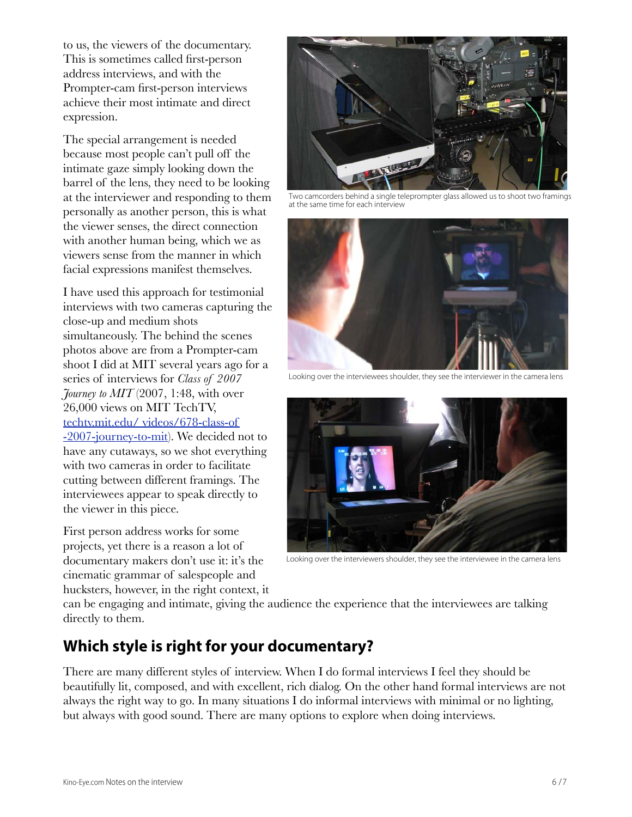to us, the viewers of the documentary. This is sometimes called first-person address interviews, and with the Prompter-cam first-person interviews achieve their most intimate and direct expression.

The special arrangement is needed because most people can't pull off the intimate gaze simply looking down the barrel of the lens, they need to be looking at the interviewer and responding to them personally as another person, this is what the viewer senses, the direct connection with another human being, which we as viewers sense from the manner in which facial expressions manifest themselves.

I have used this approach for testimonial interviews with two cameras capturing the close-up and medium shots simultaneously. The behind the scenes photos above are from a Prompter-cam shoot I did at MIT several years ago for a series of interviews for *Class of 2007 Journey to MIT* (2007, 1:48, with over 26,000 views on MIT TechTV, [techtv.mit.edu/ videos/678-class-of](http://techtv.mit.edu/videos/678-class-of-2007-journey-to-mit)  [-2007-journey-to-mit\)](http://techtv.mit.edu/videos/678-class-of-2007-journey-to-mit). We decided not to have any cutaways, so we shot everything with two cameras in order to facilitate cutting between different framings. The interviewees appear to speak directly to the viewer in this piece.

First person address works for some projects, yet there is a reason a lot of documentary makers don't use it: it's the cinematic grammar of salespeople and hucksters, however, in the right context, it



Two camcorders behind a single teleprompter glass allowed us to shoot two framings at the same time for each interview



Looking over the interviewees shoulder, they see the interviewer in the camera lens



Looking over the interviewers shoulder, they see the interviewee in the camera lens

can be engaging and intimate, giving the audience the experience that the interviewees are talking directly to them.

### **Which style is right for your documentary?**

There are many different styles of interview. When I do formal interviews I feel they should be beautifully lit, composed, and with excellent, rich dialog. On the other hand formal interviews are not always the right way to go. In many situations I do informal interviews with minimal or no lighting, but always with good sound. There are many options to explore when doing interviews.